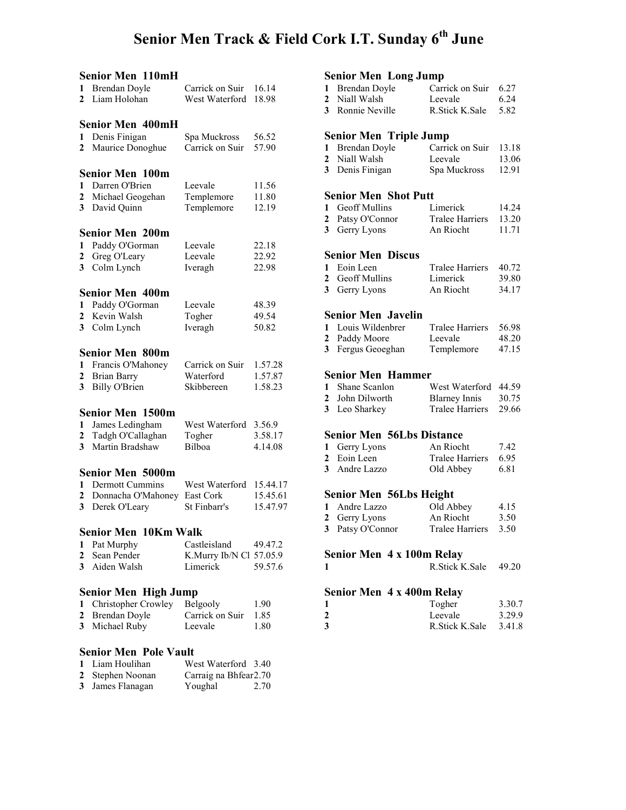### Senior Men Track & Field Cork I.T. Sunday 6<sup>th</sup> June

|                | Senior Men 110mH             |                         |          |
|----------------|------------------------------|-------------------------|----------|
| 1              | <b>Brendan Doyle</b>         | Carrick on Suir         | 16.14    |
| $\overline{2}$ | Liam Holohan                 | West Waterford          | 18.98    |
|                |                              |                         |          |
|                | Senior Men 400mH             |                         |          |
|                |                              |                         |          |
| $\mathbf{1}$   | Denis Finigan                | Spa Muckross            | 56.52    |
| 2              | Maurice Donoghue             | Carrick on Suir         | 57.90    |
|                | <b>Senior Men 100m</b>       |                         |          |
|                | 1 Darren O'Brien             | Leevale                 | 11.56    |
| $\mathbf{2}$   | Michael Geogehan             | Templemore              | 11.80    |
|                |                              |                         |          |
| 3 <sup>1</sup> | David Quinn                  | Templemore              | 12.19    |
|                | <b>Senior Men 200m</b>       |                         |          |
| 1              | Paddy O'Gorman               | Leevale                 | 22.18    |
| $\mathbf{2}$   | Greg O'Leary                 | Leevale                 | 22.92    |
|                |                              |                         |          |
| 3 <sup>7</sup> | Colm Lynch                   | Iveragh                 | 22.98    |
|                | <b>Senior Men 400m</b>       |                         |          |
| 1              | Paddy O'Gorman               | Leevale                 | 48.39    |
| $\mathbf{2}$   | Kevin Walsh                  | Togher                  | 49.54    |
| 3              | Colm Lynch                   | Iveragh                 | 50.82    |
|                |                              |                         |          |
|                | <b>Senior Men 800m</b>       |                         |          |
| 1              | Francis O'Mahoney            | Carrick on Suir         | 1.57.28  |
| $\mathbf{2}$   | <b>Brian Barry</b>           | Waterford               | 1.57.87  |
| 3              | <b>Billy O'Brien</b>         | Skibbereen              | 1.58.23  |
|                |                              |                         |          |
|                | <b>Senior Men 1500m</b>      |                         |          |
| $\mathbf{1}$   | James Ledingham              | West Waterford          | 3.56.9   |
| $\mathbf{2}$   | Tadgh O'Callaghan            | Togher                  | 3.58.17  |
| 3              | Martin Bradshaw              | Bilboa                  | 4.14.08  |
|                |                              |                         |          |
|                | <b>Senior Men 5000m</b>      |                         |          |
| 1              | Dermott Cummins              | West Waterford          | 15.44.17 |
| $\mathbf{2}$   | Donnacha O'Mahoney           | East Cork               | 15.45.61 |
| 3              | Derek O'Leary                | St Finbarr's            | 15.47.97 |
|                | <b>Senior Men 10Km Walk</b>  |                         |          |
|                |                              |                         |          |
| 1              | Pat Murphy                   | Castleisland            | 49.47.2  |
| $\mathbf{2}^-$ | Sean Pender                  | K.Murry Ib/N Cl 57.05.9 |          |
| 3 <sup>1</sup> | Aiden Walsh                  | Limerick                | 59.57.6  |
|                |                              |                         |          |
|                | Senior Men High Jump         |                         |          |
| 1              | Christopher Crowley          | Belgooly                | 1.90     |
| $\mathbf{2}$   | Brendan Doyle                | Carrick on Suir         | 1.85     |
| 3              | Michael Ruby                 | Leevale                 | 1.80     |
|                |                              |                         |          |
|                | <b>Senior Men Pole Vault</b> |                         |          |
| $\mathbf 1$    | Liam Houlihan                | West Waterford 3.40     |          |
| $\mathbf{2}$   | Stephen Noonan               | Carraig na Bhfear2.70   |          |

3 James Flanagan Youghal 2.70

### Senior Men Long Jump

| 1 Brendan Doyle  | Carrick on Suir 6.27 |      |
|------------------|----------------------|------|
| 2 Niall Walsh    | Leevale              | 6.24 |
| 3 Ronnie Neville | R. Stick K. Sale     | 5.82 |

#### Senior Men Triple Jump

| 1 Brendan Doyle | Carrick on Suir | 13.18 |
|-----------------|-----------------|-------|
| 2 Niall Walsh   | Leevale         | 13.06 |
| 3 Denis Finigan | Spa Muckross    | 12.91 |

#### Senior Men Shot Putt

| 1 Geoff Mullins  | Limerick               | 14.24 |
|------------------|------------------------|-------|
| 2 Patsy O'Connor | <b>Tralee Harriers</b> | 13.20 |
| 3 Gerry Lyons    | An Riocht              | 11 71 |

### Senior Men Discus

| 1 Eoin Leen     | Tralee Harriers 40.72 |       |
|-----------------|-----------------------|-------|
| 2 Geoff Mullins | Limerick              | 39.80 |
| 3 Gerry Lyons   | An Riocht             | 34.17 |

#### Senior Men Javelin

| 1 Louis Wildenbrer | <b>Tralee Harriers</b> | 56.98 |
|--------------------|------------------------|-------|
| 2 Paddy Moore      | Leevale                | 48.20 |
| 3 Fergus Geoeghan  | Templemore             | 47.15 |

#### Senior Men Hammer

| 1 Shane Scanlon | West Waterford 44.59 |       |
|-----------------|----------------------|-------|
| 2 John Dilworth | Blarney Innis        | 30.75 |
| 3 Leo Sharkey   | Tralee Harriers      | 29.66 |

#### Senior Men 56Lbs Distance

| 1 Gerry Lyons | An Riocht       | 7.42 |
|---------------|-----------------|------|
| 2 Eoin Leen   | Tralee Harriers | 6.95 |
| 3 Andre Lazzo | Old Abbey       | 6.81 |

#### Senior Men 56Lbs Height

| 1 Andre Lazzo    | Old Abbey       | 4.15 |
|------------------|-----------------|------|
| 2 Gerry Lyons    | An Riocht       | 3.50 |
| 3 Patsy O'Connor | Tralee Harriers | 3.50 |

#### Senior Men 4 x 100m Relay

#### Senior Men 4 x 400m Relay

| $\mathbf{1}$   | Togher           | 3.30.7 |
|----------------|------------------|--------|
| $\overline{2}$ | Leevale          | 3.29.9 |
| 3              | R. Stick K. Sale | 3.41.8 |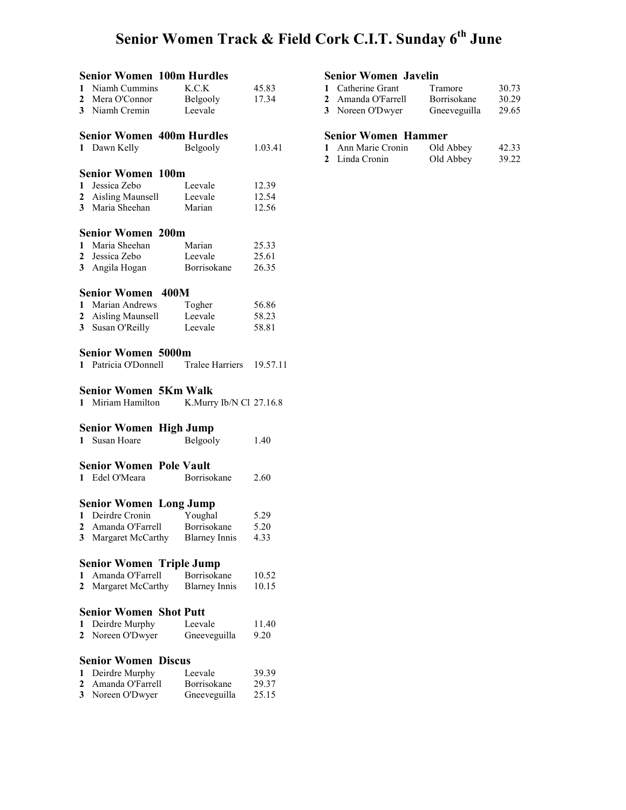# Senior Women Track & Field Cork C.I.T. Sunday 6<sup>th</sup> June

|                | <b>Senior Women 100m Hurdles</b>          |                      |          |  |
|----------------|-------------------------------------------|----------------------|----------|--|
| $\mathbf{1}$   | Niamh Cummins                             | K.C.K                | 45.83    |  |
|                | 2 Mera O'Connor                           | Belgooly             | 17.34    |  |
|                | 3 Niamh Cremin                            | Leevale              |          |  |
|                |                                           |                      |          |  |
|                | <b>Senior Women 400m Hurdles</b>          |                      |          |  |
|                | 1 Dawn Kelly                              | Belgooly             | 1.03.41  |  |
|                |                                           |                      |          |  |
|                | <b>Senior Women 100m</b>                  |                      |          |  |
|                | 1 Jessica Zebo                            | Leevale              | 12.39    |  |
|                | 2 Aisling Maunsell                        | Leevale              | 12.54    |  |
|                | 3 Maria Sheehan                           | Marian               | 12.56    |  |
|                |                                           |                      |          |  |
|                | <b>Senior Women 200m</b>                  |                      |          |  |
|                | 1 Maria Sheehan                           | Marian               | 25.33    |  |
|                | 2 Jessica Zebo                            | Leevale              | 25.61    |  |
|                | 3 Angila Hogan                            | Borrisokane          | 26.35    |  |
|                |                                           |                      |          |  |
|                | <b>Senior Women</b><br>400M               |                      |          |  |
|                | 1 Marian Andrews                          | Togher               | 56.86    |  |
|                | 2 Aisling Maunsell Leevale                |                      | 58.23    |  |
|                | 3 Susan O'Reilly                          | Leevale              | 58.81    |  |
|                |                                           |                      |          |  |
|                | <b>Senior Women 5000m</b>                 |                      |          |  |
|                | 1 Patricia O'Donnell Tralee Harriers      |                      |          |  |
|                |                                           |                      | 19.57.11 |  |
|                |                                           |                      |          |  |
|                | <b>Senior Women 5Km Walk</b>              |                      |          |  |
|                | 1 Miriam Hamilton K.Murry Ib/N Cl 27.16.8 |                      |          |  |
|                |                                           |                      |          |  |
|                | <b>Senior Women High Jump</b>             |                      |          |  |
|                | 1 Susan Hoare                             | Belgooly             | 1.40     |  |
|                |                                           |                      |          |  |
|                | <b>Senior Women Pole Vault</b>            |                      |          |  |
|                | 1 Edel O'Meara                            | Borrisokane          | 2.60     |  |
|                |                                           |                      |          |  |
|                | <b>Senior Women Long Jump</b>             |                      |          |  |
|                | 1 Deirdre Cronin                          | Youghal              | 5.29     |  |
|                | 2 Amanda O'Farrell                        | Borrisokane          | 5.20     |  |
| $\mathbf{3}$   | Margaret McCarthy                         | <b>Blarney Innis</b> | 4.33     |  |
|                |                                           |                      |          |  |
|                | <b>Senior Women Triple Jump</b>           |                      |          |  |
| 1              | Amanda O'Farrell                          | Borrisokane          | 10.52    |  |
| $\mathbf{2}$   | Margaret McCarthy                         | <b>Blarney Innis</b> | 10.15    |  |
|                |                                           |                      |          |  |
|                | <b>Senior Women Shot Putt</b>             |                      |          |  |
| 1              | Deirdre Murphy                            | Leevale              | 11.40    |  |
| $\mathbf{2}^-$ | Noreen O'Dwyer                            | Gneeveguilla         | 9.20     |  |
|                |                                           |                      |          |  |
|                | <b>Senior Women Discus</b>                |                      |          |  |
| 1              | Deirdre Murphy                            | Leevale              | 39.39    |  |
| 2              | Amanda O'Farrell                          | Borrisokane          | 29.37    |  |
| 3              | Noreen O'Dwyer                            | Gneeveguilla         | 25.15    |  |

#### Senior Women Javelin

| 1 Catherine Grant  | Tramore      | 30.73 |
|--------------------|--------------|-------|
| 2 Amanda O'Farrell | Borrisokane  | 30.29 |
| 3 Noreen O'Dwyer   | Gneeveguilla | 29.65 |

#### Senior Women Hammer

| 1 Ann Marie Cronin | Old Abbey | 42.33 |
|--------------------|-----------|-------|
| 2 Linda Cronin     | Old Abbey | 39.22 |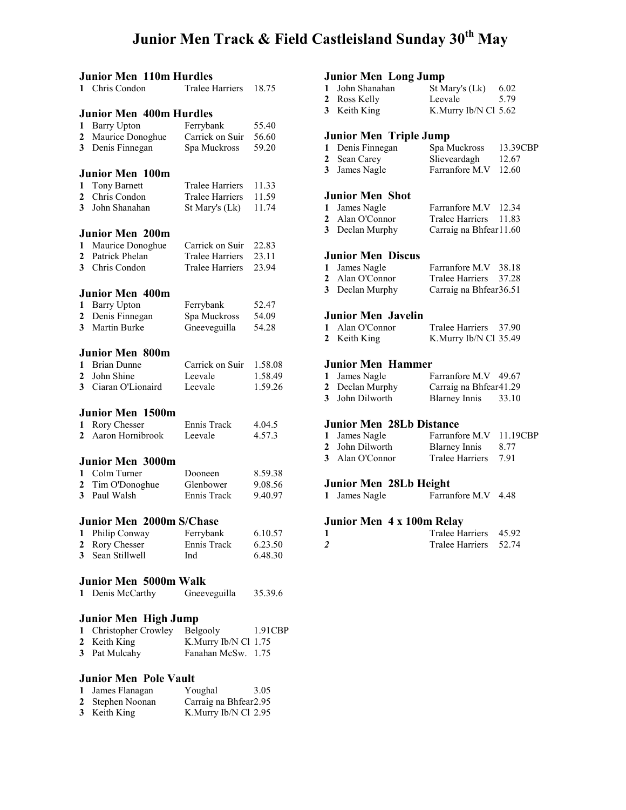### Junior Men Track & Field Castleisland Sunday 30<sup>th</sup> May

| <b>Junior Men 110m Hurdles</b> |                                 |                        |         |
|--------------------------------|---------------------------------|------------------------|---------|
| 1                              | Chris Condon                    | <b>Tralee Harriers</b> | 18.75   |
|                                |                                 |                        |         |
|                                | <b>Junior Men 400m Hurdles</b>  |                        |         |
| 1                              | <b>Barry Upton</b>              | Ferrybank              | 55.40   |
| 2                              | Maurice Donoghue                | Carrick on Suir        | 56.60   |
| 3                              | Denis Finnegan                  | Spa Muckross           | 59.20   |
|                                | Junior Men 100m                 |                        |         |
|                                |                                 | <b>Tralee Harriers</b> | 11.33   |
| 1<br>2                         | Tony Barnett<br>Chris Condon    | <b>Tralee Harriers</b> | 11.59   |
| $\mathbf{3}$                   | John Shanahan                   | St Mary's (Lk)         | 11.74   |
|                                |                                 |                        |         |
|                                | <b>Junior Men 200m</b>          |                        |         |
| 1                              | Maurice Donoghue                | Carrick on Suir        | 22.83   |
| 2                              | Patrick Phelan                  | <b>Tralee Harriers</b> | 23.11   |
| $\overline{3}$                 | Chris Condon                    | <b>Tralee Harriers</b> | 23.94   |
|                                |                                 |                        |         |
|                                | <b>Junior Men 400m</b>          |                        |         |
| 1                              | <b>Barry Upton</b>              | Ferrybank              | 52.47   |
| 2                              | Denis Finnegan                  | Spa Muckross           | 54.09   |
| 3                              | Martin Burke                    | Gneeveguilla           | 54.28   |
|                                | <b>Junior Men 800m</b>          |                        |         |
|                                | 1 Brian Dunne                   | Carrick on Suir        | 1.58.08 |
| 2                              | John Shine                      | Leevale                | 1.58.49 |
| 3                              | Ciaran O'Lionaird               | Leevale                | 1.59.26 |
|                                |                                 |                        |         |
|                                | <b>Junior Men 1500m</b>         |                        |         |
| 1                              | Rory Chesser                    | Ennis Track            | 4.04.5  |
| $\mathbf{2}$                   | Aaron Hornibrook                | Leevale                | 4.57.3  |
|                                | <b>Junior Men 3000m</b>         |                        |         |
| 1                              | Colm Turner                     | Dooneen                | 8.59.38 |
| 2                              | Tim O'Donoghue                  | Glenbower              | 9.08.56 |
| 3 <sup>1</sup>                 | Paul Walsh                      | Ennis Track            | 9.40.97 |
|                                |                                 |                        |         |
|                                | <b>Junior Men 2000m S/Chase</b> |                        |         |
| 1                              | Philip Conway                   | Ferrybank              | 6.10.57 |
| 2                              | Rory Chesser                    | Ennis Track            | 6.23.50 |
| 3                              | Sean Stillwell                  | Ind                    | 6.48.30 |
|                                |                                 |                        |         |
|                                | <b>Junior Men 5000m Walk</b>    |                        |         |
| 1                              | Denis McCarthy                  | Gneeveguilla           | 35.39.6 |
|                                | Junior Men High Jump            |                        |         |
| 1                              | Christopher Crowley             | Belgooly               | 1.91CBP |
| $\overline{2}$                 | Keith King                      | K.Murry Ib/N Cl 1.75   |         |
| 3                              | Pat Mulcahy                     | Fanahan McSw.          | 1.75    |
|                                |                                 |                        |         |

#### Junior Men Pole Vault

| 1 James Flanagan | Youghal                | 3.05 |
|------------------|------------------------|------|
| 2 Stephen Noonan | Carraig na Bhfear 2.95 |      |
| 3 Keith King     | K.Murry Ib/N Cl 2.95   |      |

# **Junior Men Long Jump**<br>1 John Shanahan St M

| 1 John Shanahan | St Mary's (Lk)       | 6.02 |
|-----------------|----------------------|------|
| 2 Ross Kelly    | Leevale              | 5.79 |
| 3 Keith King    | K.Murry Ib/N Cl 5.62 |      |

#### Junior Men Triple Jump

| 1 Denis Finnegan | Spa Muckross         | 13.39CBP |
|------------------|----------------------|----------|
| 2 Sean Carey     | Slieveardagh         | 12.67    |
| 3 James Nagle    | Farranfore M.V 12.60 |          |

#### Junior Men Shot

| 1 James Nagle   | Farranfore M.V 12.34    |  |
|-----------------|-------------------------|--|
| 2 Alan O'Connor | Tralee Harriers 11.83   |  |
| 3 Declan Murphy | Carraig na Bhfear 11.60 |  |

#### Junior Men Discus

| 1 James Nagle   | Farranfore M.V 38.18    |  |
|-----------------|-------------------------|--|
| 2 Alan O'Connor | Tralee Harriers 37.28   |  |
| 3 Declan Murphy | Carraig na Bhfear 36.51 |  |

#### Junior Men Javelin

| 1 Alan O'Connor | Tralee Harriers       | 37.90 |
|-----------------|-----------------------|-------|
| 2 Keith King    | K.Murry Ib/N Cl 35.49 |       |

### Junior Men Hammer

| липог мен пашшег |                        |       |  |  |
|------------------|------------------------|-------|--|--|
| 1 James Nagle    | Farranfore M.V 49.67   |       |  |  |
| 2 Declan Murphy  | Carraig na Bhfear41.29 |       |  |  |
| 3 John Dilworth  | <b>Blarney Innis</b>   | 33.10 |  |  |

#### Junior Men 28Lb Distance

| 1 James Nagle   | Farranfore M.V 11.19CBP |      |
|-----------------|-------------------------|------|
| 2 John Dilworth | Blarney Innis           | 8.77 |
| 3 Alan O'Connor | Tralee Harriers 7.91    |      |

#### Junior Men 28Lb Height

|  | 1 James Nagle | Farranfore M.V | 4.48 |
|--|---------------|----------------|------|
|--|---------------|----------------|------|

#### Junior Men 4 x 100m Relay

| Tralee Harriers 45.92 |  |
|-----------------------|--|
| Tralee Harriers 52.74 |  |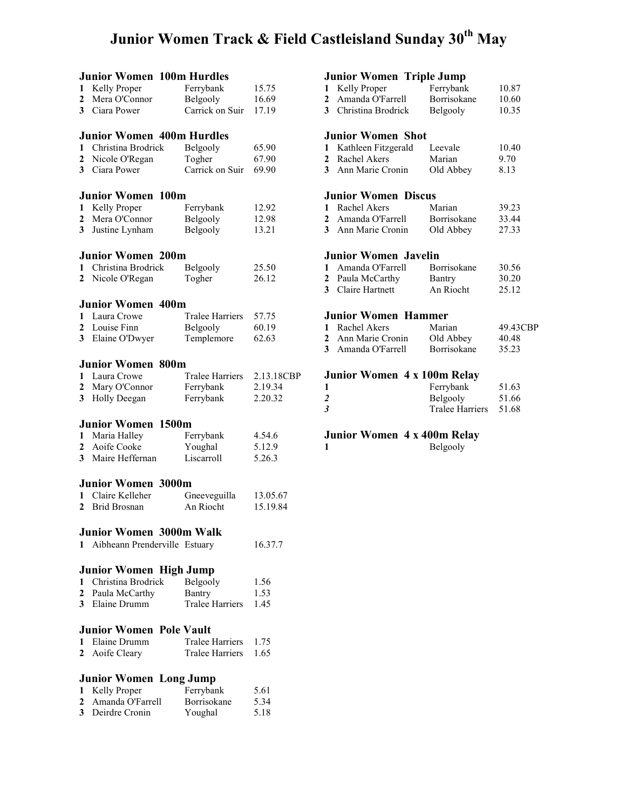# Junior Women Track & Field Castleisland Sunday 30<sup>th</sup> May

|                | <b>Junior Women 100m Hurdles</b>               |                        |                |
|----------------|------------------------------------------------|------------------------|----------------|
| 1              | Kelly Proper                                   | Ferrybank              | 15.75          |
| $\overline{2}$ | Mera O'Connor                                  | Belgooly               | 16.69          |
| 3              | Ciara Power                                    | Carrick on Suir        | 17.19          |
|                |                                                |                        |                |
|                | <b>Junior Women 400m Hurdles</b>               |                        |                |
| 1              | Christina Brodrick                             | Belgooly               | 65.90          |
| $\overline{2}$ | Nicole O'Regan                                 | Togher                 | 67.90          |
| 3              | Ciara Power                                    | Carrick on Suir        | 69.90          |
|                |                                                |                        |                |
|                | <b>Junior Women 100m</b>                       |                        |                |
| 1              | Kelly Proper                                   | Ferrybank              | 12.92          |
| 2              | Mera O'Connor                                  | Belgooly               | 12.98          |
| 3              | Justine Lynham                                 | Belgooly               | 13.21          |
|                |                                                |                        |                |
|                | <b>Junior Women 200m</b><br>Christina Brodrick |                        |                |
| 1              |                                                | Belgooly               | 25.50<br>26.12 |
| 2              | Nicole O'Regan                                 | Togher                 |                |
|                | <b>Junior Women 400m</b>                       |                        |                |
| 1              | Laura Crowe                                    | <b>Tralee Harriers</b> | 57.75          |
| 2              | Louise Finn                                    | Belgooly               | 60.19          |
| 3              | Elaine O'Dwyer                                 | Templemore             | 62.63          |
|                |                                                |                        |                |
|                | <b>Junior Women 800m</b>                       |                        |                |
| $\mathbf{1}$   | Laura Crowe                                    | <b>Tralee Harriers</b> | 2.13.18CBP     |
| $\overline{2}$ | Mary O'Connor                                  | Ferrybank              | 2.19.34        |
| 3              | Holly Deegan                                   | Ferrybank              | 2.20.32        |
|                |                                                |                        |                |
|                | <b>Junior Women 1500m</b>                      |                        |                |
| 1              | Maria Halley                                   | Ferrybank              | 4.54.6         |
| $\overline{2}$ | Aoife Cooke                                    | Youghal                | 5.12.9         |
| 3              | Maire Heffernan                                | Liscarroll             | 5.26.3         |
|                | <b>Junior Women 3000m</b>                      |                        |                |
| 1              | Claire Kelleher                                | Gneeveguilla           | 13.05.67       |
| 2              | <b>Brid Brosnan</b>                            | An Riocht              | 15.19.84       |
|                |                                                |                        |                |
|                | <b>Junior Women 3000m Walk</b>                 |                        |                |
| 1              | Aibheann Prenderville Estuary                  |                        | 16.37.7        |
|                |                                                |                        |                |
|                | Junior Women High Jump                         |                        |                |
| 1              | Christina Brodrick                             | Belgooly               | 1.56           |
| $\overline{2}$ | Paula McCarthy                                 | Bantry                 | 1.53           |
| 3              | Elaine Drumm                                   | <b>Tralee Harriers</b> | 1.45           |
|                |                                                |                        |                |
|                | <b>Junior Women Pole Vault</b>                 |                        |                |
| 1              | Elaine Drumm                                   | <b>Tralee Harriers</b> | 1.75           |
| 2              | Aoife Cleary                                   | <b>Tralee Harriers</b> | 1.65           |
|                | <b>Junior Women Long Jump</b>                  |                        |                |
| 1              | Kelly Proper                                   | Ferrybank              | 5.61           |
| $\overline{2}$ | Amanda O'Farrell                               | Borrisokane            | 5.34           |
| 3              | Deirdre Cronin                                 | Youghal                | 5.18           |
|                |                                                |                        |                |

| Junior Women Triple Jump            |                        |          |
|-------------------------------------|------------------------|----------|
| Kelly Proper<br>1                   | Ferrybank              | 10.87    |
| Amanda O'Farrell<br>$\mathbf{2}$    | Borrisokane            | 10.60    |
| 3 Christina Brodrick                | Belgooly               | 10.35    |
|                                     |                        |          |
| <b>Junior Women Shot</b>            |                        |          |
| Kathleen Fitzgerald<br>$\mathbf{1}$ | Leevale                | 10.40    |
| $\mathbf{2}$<br>Rachel Akers        | Marian                 | 9.70     |
| 3 Ann Marie Cronin                  | Old Abbey              | 8.13     |
| <b>Junior Women Discus</b>          |                        |          |
| 1 Rachel Akers                      | Marian                 | 39.23    |
| 2 Amanda O'Farrell                  | Borrisokane            | 33.44    |
| 3 Ann Marie Cronin                  | Old Abbey              | 27.33    |
|                                     |                        |          |
| <b>Junior Women Javelin</b>         |                        |          |
| 1 Amanda O'Farrell                  | Borrisokane            | 30.56    |
| $\mathbf{2}$<br>Paula McCarthy      | Bantry                 | 30.20    |
| 3 Claire Hartnett                   | An Riocht              | 25.12    |
| <b>Junior Women Hammer</b>          |                        |          |
| 1 Rachel Akers                      | Marian                 | 49.43CBP |
| 2 Ann Marie Cronin                  | Old Abbey              | 40.48    |
| 3 Amanda O'Farrell                  | Borrisokane            | 35.23    |
| Junior Women 4 x 100m Relay         |                        |          |
| 1                                   | Ferrybank              | 51.63    |
| $\overline{2}$                      | Belgooly               | 51.66    |
| $\overline{\mathbf{3}}$             | <b>Tralee Harriers</b> | 51.68    |
|                                     |                        |          |
| Junior Women 4 x 400m Relay         |                        |          |
| 1                                   | Belgooly               |          |
|                                     |                        |          |
|                                     |                        |          |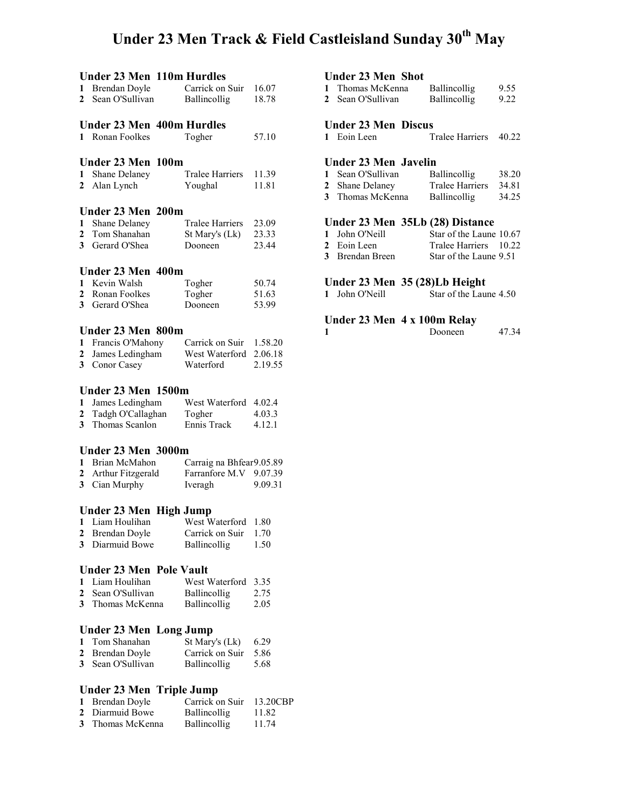### Under 23 Men Track & Field Castleisland Sunday 30<sup>th</sup> May

### Under 23 Men 110m Hurdles 1 Brendan Doyle Carrick on Suir 16.07 2 Sean O'Sullivan Ballincollig 18.78 Under 23 Men 400m Hurdles 1 Ronan Foolkes Togher 57.10 Under 23 Men 100m 1 Shane Delaney Tralee Harriers 11.39 2 Alan Lynch Youghal 11.81 Under 23 Men 200m 1 Shane Delaney Tralee Harriers 23.09 2 Tom Shanahan St Mary's (Lk) 23.33 3 Gerard O'Shea Dooneen 23.44 Under 23 Men 400m<br>1 Kevin Walsh Togher 1 Kevin Walsh Togher 50.74 2 Ronan Foolkes Togher 51.63 3 Gerard O'Shea Dooneen 53.99 Under 23 Men 800m 1 Francis O'Mahony<br>
2 James Ledingham<br>
2.06.18 West Waterford 2.06.18 3 Conor Casey Waterford 2.19.55 Under 23 Men 1500m 1 James Ledingham West Waterford 4.02.4 2 Tadgh O'Callaghan Togher 4.03.3 3 Thomas Scanlon Ennis Track 4.12.1 Under 23 Men 3000m<br>1 Brian McMahon C 1 Brian McMahon Carraig na Bhfear 9.05.89<br>2 Arthur Fitzgerald Farranfore M.V 9.07.39 Farranfore M.V 9.07.39<br>Iveragh 9.09.31 3 Cian Murphy Iveragh Under 23 Men High Jump<br>1 Liam Houlihan West W West Waterford 1.80 2 Brendan Doyle Carrick on Suir 1.70 3 Diarmuid Bowe Ballincollig 1.50 Under 23 Men Pole Vault<br>1 Liam Houlihan West 1 West Waterford 3.35<br>Ballincollig 2.75 2 Sean O'Sullivan 3 Thomas McKenna Ballincollig 2.05 Under 23 Men Long Jump<br>1 Tom Shanahan St Mary's (Lk) 1 Tom Shanahan St Mary's (Lk) 6.29 2 Brendan Doyle Carrick on Suir 5.86 3 Sean O'Sullivan Ballincollig 5.68 Under 23 Men Triple Jump

| 1 Brendan Doyle  | Carrick on Suir     | 13.20CBP |
|------------------|---------------------|----------|
| 2 Diarmuid Bowe  | Ballincollig        | 11.82    |
| 3 Thomas McKenna | <b>Ballincollig</b> | 11.74    |

#### Under 23 Men Shot

| Thomas McKenna    | <b>Ballincollig</b> | 9.55 |
|-------------------|---------------------|------|
| 2 Sean O'Sullivan | <b>Ballincollig</b> | 9.22 |

#### Under 23 Men Discus

1 Eoin Leen Tralee Harriers 40.22

#### Under 23 Men Javelin

| 1 Sean O'Sullivan | <b>Ballincollig</b> | 38.20 |
|-------------------|---------------------|-------|
| 2 Shane Delaney   | Tralee Harriers     | 34.81 |
| 3 Thomas McKenna  | <b>Ballincollig</b> | 34.25 |

#### Under 23 Men 35Lb (28) Distance

| 1 John O'Neill  | Star of the Laune 10.67 |  |
|-----------------|-------------------------|--|
| 2 Eoin Leen     | Tralee Harriers 10.22   |  |
| 3 Brendan Breen | Star of the Laune 9.51  |  |

#### Under 23 Men 35 (28)Lb Height

| 1 John O'Neill |  | Star of the Laune 4.50 |
|----------------|--|------------------------|
|                |  |                        |

#### Under 23 Men 4 x 100m Relay

| Dooneen | 47.34 |
|---------|-------|
|         |       |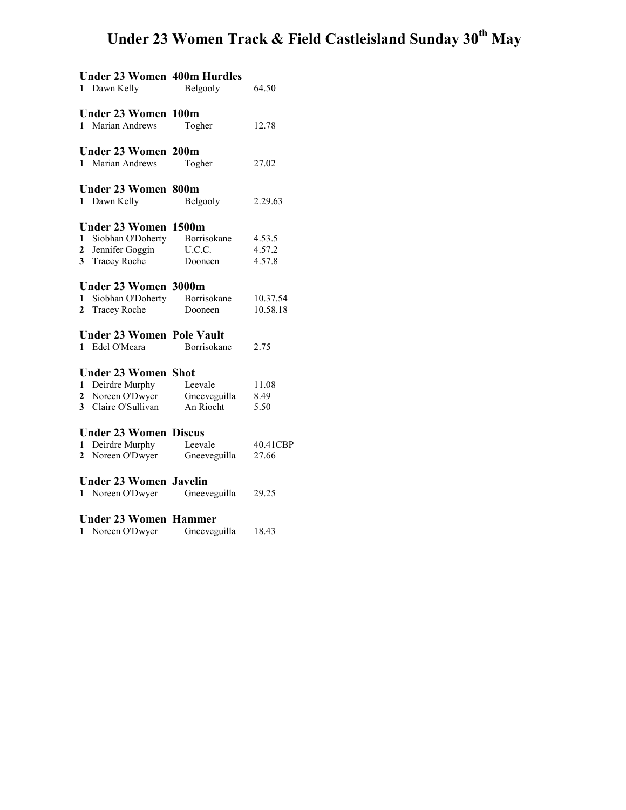# Under 23 Women Track & Field Castleisland Sunday 30<sup>th</sup> May

| <b>Under 23 Women 400m Hurdles</b><br>Dawn Kelly<br>$\mathbf{1}$                                                                       | Belgooly                                  | 64.50                      |
|----------------------------------------------------------------------------------------------------------------------------------------|-------------------------------------------|----------------------------|
| <b>Under 23 Women 100m</b><br>Marian Andrews<br>$\mathbf{1}$                                                                           | Togher                                    | 12.78                      |
| <b>Under 23 Women 200m</b><br>1 Marian Andrews                                                                                         | Togher                                    | 27.02                      |
| <b>Under 23 Women 800m</b><br>1 Dawn Kelly                                                                                             | Belgooly                                  | 2.29.63                    |
| <b>Under 23 Women</b><br>Siobhan O'Doherty<br>$\mathbf{1}$<br>$\mathbf{2}$<br>Jennifer Goggin<br>3 <sup>1</sup><br><b>Tracey Roche</b> | 1500m<br>Borrisokane<br>U.C.C.<br>Dooneen | 4.53.5<br>4.57.2<br>4.57.8 |
| <b>Under 23 Women 3000m</b><br>Siobhan O'Doherty<br>1<br>$\mathbf{2}$<br><b>Tracey Roche</b>                                           | Borrisokane<br>Dooneen                    | 10.37.54<br>10.58.18       |
| <b>Under 23 Women Pole Vault</b><br>$\mathbf{1}$<br>Edel O'Meara                                                                       | Borrisokane                               | 2.75                       |
| <b>Under 23 Women Shot</b><br>Deirdre Murphy<br>1<br>Noreen O'Dwyer<br>$\mathbf{2}$<br>Claire O'Sullivan<br>3                          | Leevale<br>Gneeveguilla<br>An Riocht      | 11.08<br>8.49<br>5.50      |
| <b>Under 23 Women Discus</b><br>Deirdre Murphy<br>1<br>Noreen O'Dwyer<br>$\mathbf{2}$                                                  | Leevale<br>Gneeveguilla                   | 40.41CBP<br>27.66          |
| <b>Under 23 Women Javelin</b><br>Noreen O'Dwyer<br>1                                                                                   | Gneeveguilla                              | 29.25                      |
| <b>Under 23 Women Hammer</b><br>Noreen O'Dwyer<br>1                                                                                    | Gneeveguilla                              | 18.43                      |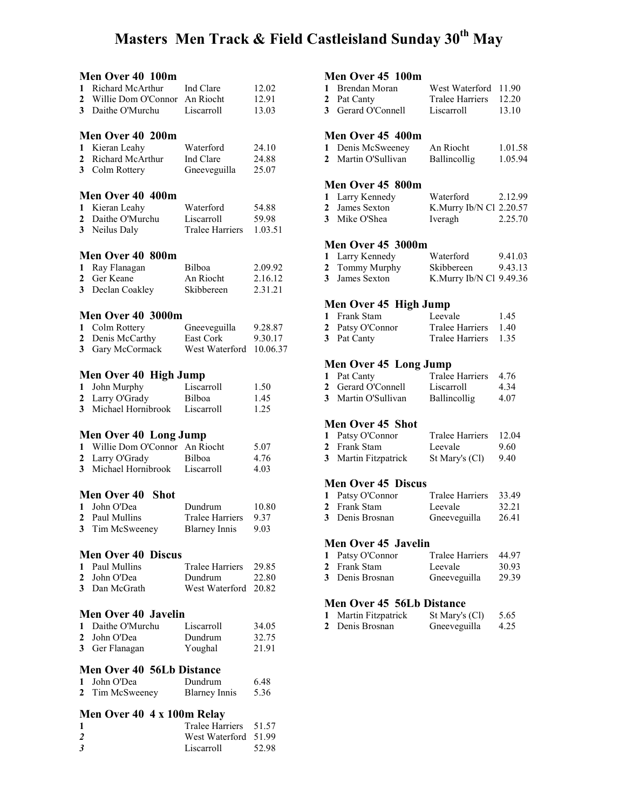### Masters Men Track & Field Castleisland Sunday 30<sup>th</sup> May

|                         | Men Over 40 100m                 |                        |          |
|-------------------------|----------------------------------|------------------------|----------|
| 1                       | Richard McArthur                 | Ind Clare              | 12.02    |
| 2                       | Willie Dom O'Connor              | An Riocht              | 12.91    |
| 3 <sup>1</sup>          | Daithe O'Murchu                  | Liscarroll             | 13.03    |
|                         |                                  |                        |          |
|                         | Men Over 40 200m                 |                        |          |
|                         |                                  |                        |          |
| 1                       | Kieran Leahy                     | Waterford              | 24.10    |
| $\overline{2}$          | Richard McArthur                 | Ind Clare              | 24.88    |
| 3                       | Colm Rottery                     | Gneeveguilla           | 25.07    |
|                         |                                  |                        |          |
|                         | Men Over 40 400m                 |                        |          |
| 1                       | Kieran Leahy                     | Waterford              | 54.88    |
| $\overline{2}$          | Daithe O'Murchu                  | Liscarroll             | 59.98    |
| 3 <sup>1</sup>          | Neilus Daly                      | <b>Tralee Harriers</b> | 1.03.51  |
|                         |                                  |                        |          |
|                         | Men Over 40 800m                 |                        |          |
| 1                       | Ray Flanagan                     | Bilboa                 | 2.09.92  |
| 2                       | Ger Keane                        | An Riocht              | 2.16.12  |
| 3                       | Declan Coakley                   | Skibbereen             | 2.31.21  |
|                         |                                  |                        |          |
|                         | Men Over 40 3000m                |                        |          |
| 1                       | Colm Rottery                     | Gneeveguilla           | 9.28.87  |
|                         | Denis McCarthy                   | East Cork              |          |
| 2<br>3                  |                                  | West Waterford         | 9.30.17  |
|                         | Gary McCormack                   |                        | 10.06.37 |
|                         |                                  |                        |          |
|                         | Men Over 40 High Jump            |                        |          |
| 1                       | John Murphy                      | Liscarroll             | 1.50     |
| $\mathbf{2}$            | Larry O'Grady                    | Bilboa                 | 1.45     |
| 3                       | Michael Hornibrook               | Liscarroll             | 1.25     |
|                         |                                  |                        |          |
|                         | Men Over 40 Long Jump            |                        |          |
| 1                       | Willie Dom O'Connor An Riocht    |                        | 5.07     |
| $\mathbf{2}$            | Larry O'Grady                    | Bilboa                 | 4.76     |
| 3                       | Michael Hornibrook Liscarroll    |                        | 4.03     |
|                         |                                  |                        |          |
|                         | <b>Men Over 40</b><br>Shot       |                        |          |
| 1                       | John O'Dea                       | Dundrum                | 10.80    |
|                         | 2 Paul Mullins                   | Tralee Harriers        | 9.37     |
| 3                       | Tim McSweeney                    | <b>Blarney Innis</b>   | 9.03     |
|                         |                                  |                        |          |
|                         | <b>Men Over 40 Discus</b>        |                        |          |
| 1                       | Paul Mullins                     | <b>Tralee Harriers</b> | 29.85    |
| $\mathbf{2}$            | John O'Dea                       | Dundrum                | 22.80    |
|                         | 3 Dan McGrath                    | West Waterford         | 20.82    |
|                         |                                  |                        |          |
|                         | <b>Men Over 40 Javelin</b>       |                        |          |
| 1                       | Daithe O'Murchu                  | Liscarroll             |          |
|                         |                                  | Dundrum                | 34.05    |
| 2                       | John O'Dea                       |                        | 32.75    |
| 3                       | Ger Flanagan                     | Youghal                | 21.91    |
|                         | <b>Men Over 40 56Lb Distance</b> |                        |          |
| 1                       | John O'Dea                       | Dundrum                | 6.48     |
| 2                       |                                  |                        | 5.36     |
|                         | Tim McSweeney                    | <b>Blarney Innis</b>   |          |
|                         | Men Over 40 4 x 100m Relay       |                        |          |
| 1                       |                                  | <b>Tralee Harriers</b> | 51.57    |
| $\overline{\mathbf{c}}$ |                                  | West Waterford         | 51.99    |
| 3                       |                                  | Liscarroll             | 52.98    |
|                         |                                  |                        |          |

#### Men Over 45 100m

| 1 Brendan Moran    | West Waterford 11.90  |       |
|--------------------|-----------------------|-------|
| 2 Pat Canty        | Tralee Harriers 12.20 |       |
| 3 Gerard O'Connell | Liscarroll            | 13.10 |
|                    |                       |       |

#### Men Over 45 400m

| 1 Denis McSweeney   | An Riocht           | 1.01.58 |
|---------------------|---------------------|---------|
| 2 Martin O'Sullivan | <b>Ballincollig</b> | 1.05.94 |

#### Men Over 45 800m

| 1 Larry Kennedy | Waterford                  | 2.12.99 |
|-----------------|----------------------------|---------|
| 2 James Sexton  | K. Murry Ib/N Cl $2.20.57$ |         |
| 3 Mike O'Shea   | Iveragh                    | 2.25.70 |

#### Men Over 45 3000m

| 1 Larry Kennedy | Waterford               | 9.41.03 |
|-----------------|-------------------------|---------|
| 2 Tommy Murphy  | Skibbereen              | 9.43.13 |
| 3 James Sexton  | K.Murry Ib/N Cl 9.49.36 |         |

#### Men Over 45 High Jump

| 1 Frank Stam     | Leevale              | 1.45 |
|------------------|----------------------|------|
| 2 Patsy O'Connor | Tralee Harriers 1.40 |      |
| 3 Pat Canty      | Tralee Harriers 1.35 |      |

#### Men Over 45 Long Jump

| 1 Pat Canty         | Tralee Harriers 4.76 |      |
|---------------------|----------------------|------|
| 2 Gerard O'Connell  | Liscarroll           | 4.34 |
| 3 Martin O'Sullivan | <b>Ballincollig</b>  | 4.07 |

#### Men Over 45 Shot

| 1 Patsy O'Connor | <b>Tralee Harriers</b> | 12.04 |
|------------------|------------------------|-------|
| 2 Frank Stam     | Leevale                | 9.60  |

### 3 Martin Fitzpatrick St Mary's (Cl) 9.40

#### Men Over 45 Discus

| 1 Patsy O'Connor | Tralee Harriers | 33.49 |
|------------------|-----------------|-------|
| 2 Frank Stam     | Leevale         | 32.21 |
| 3 Denis Brosnan  | Gneeveguilla    | 26.41 |

#### Men Over 45 Javelin

| 1 Patsy O'Connor | Tralee Harriers 44.97 |       |
|------------------|-----------------------|-------|
| 2 Frank Stam     | Leevale               | 30.93 |
| 3 Denis Brosnan  | Gneeveguilla          | 29.39 |

#### Men Over 45 56Lb Distance

| Martin Fitzpatrick | St Mary's (Cl) | 5.65 |
|--------------------|----------------|------|
| 2 Denis Brosnan    | Gneeveguilla   | 4.25 |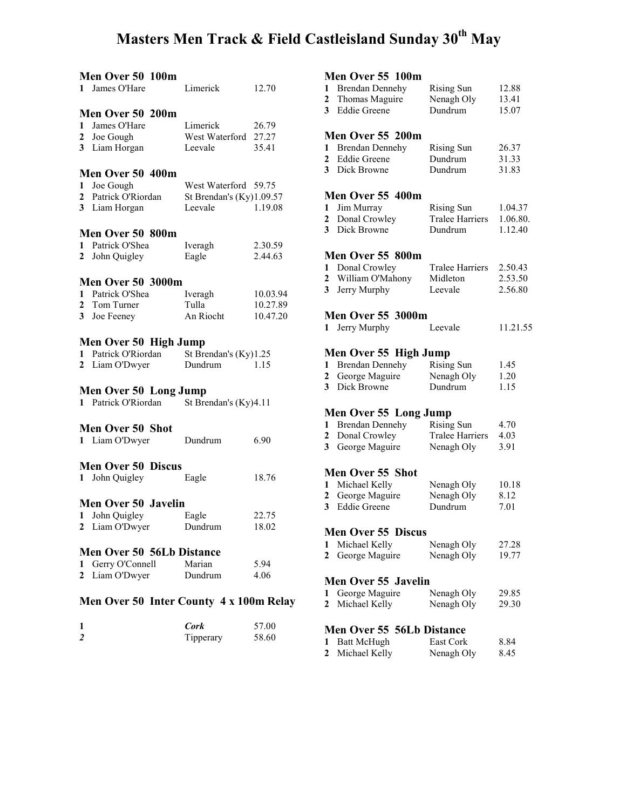# Masters Men Track & Field Castleisland Sunday 30<sup>th</sup> May

|                              | Men Over 50 100m<br>1 James O'Hare                                           | Limerick                                                      | 12.70                            |
|------------------------------|------------------------------------------------------------------------------|---------------------------------------------------------------|----------------------------------|
| 1<br>$\mathbf{2}$            | Men Over 50 200m<br>James O'Hare<br>Joe Gough<br>3 Liam Horgan               | Limerick<br>West Waterford 27.27<br>Leevale                   | 26.79<br>35.41                   |
| $\mathbf{1}$                 | Men Over 50 400m<br>Joe Gough<br>2 Patrick O'Riordan<br>3 Liam Horgan        | West Waterford 59.75<br>St Brendan's $(Ky)1.09.57$<br>Leevale | 1.19.08                          |
| $\mathbf{2}$                 | Men Over 50 800m<br>1 Patrick O'Shea<br>John Quigley                         | Iveragh<br>Eagle                                              | 2.30.59<br>2.44.63               |
|                              | <b>Men Over 50 3000m</b><br>1 Patrick O'Shea<br>2 Tom Turner<br>3 Joe Feeney | Iveragh<br>Tulla<br>An Riocht                                 | 10.03.94<br>10.27.89<br>10.47.20 |
| 1<br>$\mathbf{2}$            | Men Over 50 High Jump<br>Patrick O'Riordan<br>Liam O'Dwyer                   | St Brendan's (Ky)1.25<br>Dundrum                              | 1.15                             |
|                              | Men Over 50 Long Jump<br>1 Patrick O'Riordan                                 | St Brendan's (Ky)4.11                                         |                                  |
|                              | <b>Men Over 50 Shot</b><br>1 Liam O'Dwyer                                    | Dundrum                                                       | 6.90                             |
| 1                            | <b>Men Over 50 Discus</b><br>John Quigley                                    | Eagle                                                         | 18.76                            |
| 1                            | <b>Men Over 50 Javelin</b><br>John Quigley<br>2 Liam O'Dwyer                 | Eagle<br>Dundrum                                              | 22.75<br>18.02                   |
| $\mathbf{1}$<br>$\mathbf{2}$ | <b>Men Over 50 56Lb Distance</b><br>Gerry O'Connell<br>Liam O'Dwyer          | Marian<br>Dundrum                                             | 5.94<br>4.06                     |
|                              | Men Over 50 Inter County 4 x 100m Relay                                      |                                                               |                                  |

|                | Cork      | 57.00 |
|----------------|-----------|-------|
| $\overline{2}$ | Tipperary | 58.60 |

### Men Over 55 100m

|                              | ічісіі Оуег ээ тоош                           |                              |          |  |
|------------------------------|-----------------------------------------------|------------------------------|----------|--|
| 1                            | <b>Brendan Dennehy</b>                        | <b>Rising Sun</b>            | 12.88    |  |
| $\mathbf{2}$                 | Thomas Maguire                                | Nenagh Oly                   | 13.41    |  |
| 3 <sup>7</sup>               | <b>Eddie Greene</b>                           | Dundrum                      | 15.07    |  |
|                              | Men Over 55 200m                              |                              |          |  |
|                              |                                               |                              |          |  |
| 1                            | <b>Brendan Dennehy</b><br><b>Eddie Greene</b> | <b>Rising Sun</b><br>Dundrum | 26.37    |  |
| $\mathbf{2}$<br>$\mathbf{3}$ | Dick Browne                                   | Dundrum                      | 31.33    |  |
|                              |                                               |                              | 31.83    |  |
|                              | Men Over 55 400m                              |                              |          |  |
| 1                            | Jim Murray                                    | <b>Rising Sun</b>            | 1.04.37  |  |
| $\mathbf{2}$                 | Donal Crowley                                 | <b>Tralee Harriers</b>       | 1.06.80. |  |
|                              | 3 Dick Browne                                 | Dundrum                      | 1.12.40  |  |
|                              |                                               |                              |          |  |
|                              | Men Over 55 800m                              |                              |          |  |
|                              | 1 Donal Crowley                               | <b>Tralee Harriers</b>       | 2.50.43  |  |
| 2                            | William O'Mahony                              | Midleton                     | 2.53.50  |  |
| $\mathbf{3}$                 | Jerry Murphy                                  | Leevale                      | 2.56.80  |  |
|                              |                                               |                              |          |  |
|                              | <b>Men Over 55 3000m</b>                      |                              |          |  |
|                              | 1 Jerry Murphy                                | Leevale                      | 11.21.55 |  |
|                              |                                               |                              |          |  |
|                              | Men Over 55 High Jump                         |                              |          |  |
|                              | 1 Brendan Dennehy                             | <b>Rising Sun</b>            | 1.45     |  |
| $\mathbf{2}$                 | George Maguire                                | Nenagh Oly                   | 1.20     |  |
| 3                            | Dick Browne                                   | Dundrum                      | 1.15     |  |
|                              |                                               |                              |          |  |
|                              | Men Over 55 Long Jump                         |                              |          |  |
|                              | 1 Brendan Dennehy                             | <b>Rising Sun</b>            | 4.70     |  |
| $\mathbf{2}$                 | Donal Crowley                                 | <b>Tralee Harriers</b>       | 4.03     |  |
| 3 <sup>7</sup>               | George Maguire                                | Nenagh Oly                   | 3.91     |  |
|                              |                                               |                              |          |  |
|                              | Men Over 55 Shot                              |                              |          |  |
| 1                            | Michael Kelly                                 | Nenagh Oly                   | 10.18    |  |
| $\mathbf{2}$                 | George Maguire                                | Nenagh Oly                   | 8.12     |  |
| 3                            | <b>Eddie Greene</b>                           | Dundrum                      | 7.01     |  |
|                              |                                               |                              |          |  |
|                              | <b>Men Over 55</b><br><b>Discus</b>           |                              |          |  |
| 1                            | Michael Kelly                                 | Nenagh Oly                   | 27.28    |  |
| $\overline{2}$               | George Maguire                                | Nenagh Oly                   | 19.77    |  |
| Men Over 55 Javelin          |                                               |                              |          |  |
|                              |                                               |                              |          |  |
| 1<br>$\overline{2}$          | George Maguire                                | Nenagh Oly                   | 29.85    |  |
|                              | Michael Kelly                                 | Nenagh Oly                   | 29.30    |  |
|                              | Men Over 55 56Lb Distance                     |                              |          |  |
| 1                            |                                               | East Cork                    |          |  |
| $\mathbf 2$                  | <b>Batt McHugh</b>                            |                              | 8.84     |  |
|                              | Michael Kelly                                 | Nenagh Oly                   | 8.45     |  |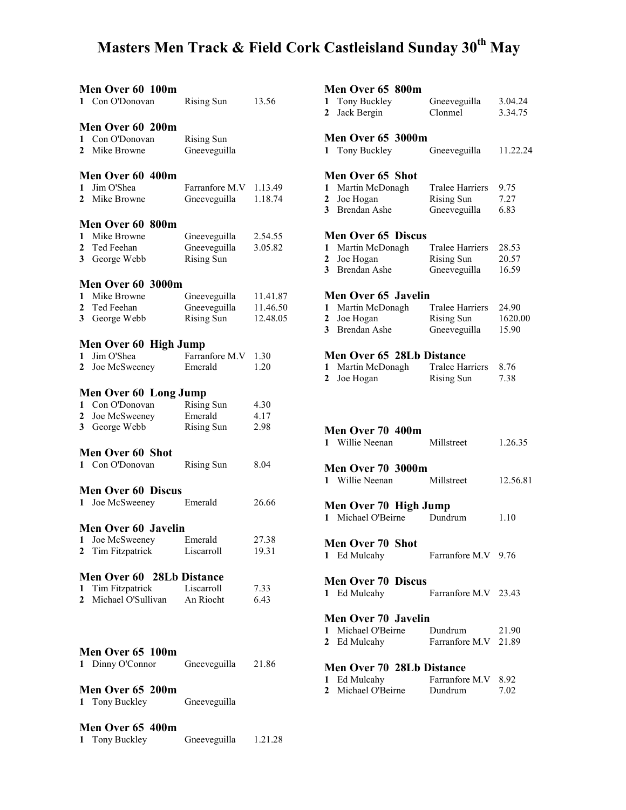# Masters Men Track & Field Cork Castleisland Sunday 30<sup>th</sup> May

| Men Over 60 100m<br>1 Con O'Donovan          | Rising Sun             | 13.56    |  |  |  |  |  |
|----------------------------------------------|------------------------|----------|--|--|--|--|--|
|                                              |                        |          |  |  |  |  |  |
| Men Over 60 200m                             |                        |          |  |  |  |  |  |
| 1 Con O'Donovan                              | <b>Rising Sun</b>      |          |  |  |  |  |  |
| 2 Mike Browne                                | Gneeveguilla           |          |  |  |  |  |  |
| Men Over 60 400m                             |                        |          |  |  |  |  |  |
|                                              |                        |          |  |  |  |  |  |
| Jim O'Shea<br>$\mathbf{1}$                   | Farranfore M.V 1.13.49 |          |  |  |  |  |  |
| 2 Mike Browne                                | Gneeveguilla           | 1.18.74  |  |  |  |  |  |
| Men Over 60 800m                             |                        |          |  |  |  |  |  |
| Mike Browne<br>1                             | Gneeveguilla           | 2.54.55  |  |  |  |  |  |
|                                              |                        | 3.05.82  |  |  |  |  |  |
| 2 Ted Feehan                                 | Gneeveguilla           |          |  |  |  |  |  |
| 3 George Webb                                | <b>Rising Sun</b>      |          |  |  |  |  |  |
| Men Over 60 3000m                            |                        |          |  |  |  |  |  |
| 1 Mike Browne                                | Gneeveguilla           | 11.41.87 |  |  |  |  |  |
| 2 Ted Feehan                                 | Gneeveguilla           | 11.46.50 |  |  |  |  |  |
| 3 George Webb                                |                        | 12.48.05 |  |  |  |  |  |
|                                              | <b>Rising Sun</b>      |          |  |  |  |  |  |
| Men Over 60 High Jump                        |                        |          |  |  |  |  |  |
| 1 Jim O'Shea                                 | Farranfore M.V         | 1.30     |  |  |  |  |  |
| $\mathbf{2}$<br>Joe McSweeney                | Emerald                | 1.20     |  |  |  |  |  |
|                                              |                        |          |  |  |  |  |  |
| Men Over 60 Long Jump                        |                        |          |  |  |  |  |  |
| 1 Con O'Donovan                              | Rising Sun             | 4.30     |  |  |  |  |  |
| 2 Joe McSweeney                              | Emerald                | 4.17     |  |  |  |  |  |
|                                              |                        |          |  |  |  |  |  |
| George Webb<br>3 <sup>7</sup>                | <b>Rising Sun</b>      | 2.98     |  |  |  |  |  |
| <b>Men Over 60 Shot</b>                      |                        |          |  |  |  |  |  |
| 1 Con O'Donovan                              | <b>Rising Sun</b>      | 8.04     |  |  |  |  |  |
|                                              |                        |          |  |  |  |  |  |
| <b>Men Over 60 Discus</b>                    |                        |          |  |  |  |  |  |
| 1 Joe McSweeney                              | Emerald                | 26.66    |  |  |  |  |  |
|                                              |                        |          |  |  |  |  |  |
| Men Over 60 Javelin                          |                        |          |  |  |  |  |  |
| 1 Joe McSweeney                              | Emerald                | 27.38    |  |  |  |  |  |
| 2 Tim Fitzpatrick                            | Liscarroll             | 19.31    |  |  |  |  |  |
|                                              |                        |          |  |  |  |  |  |
| Men Over 60 28Lb Distance                    |                        |          |  |  |  |  |  |
| 1 Tim Fitzpatrick                            | Liscarroll             | 7.33     |  |  |  |  |  |
| Michael O'Sullivan An Riocht<br>$\mathbf{2}$ |                        | 6.43     |  |  |  |  |  |
|                                              |                        |          |  |  |  |  |  |
|                                              |                        |          |  |  |  |  |  |
|                                              |                        |          |  |  |  |  |  |
| Men Over 65 100m                             |                        |          |  |  |  |  |  |
| 1 Dinny O'Connor                             | Gneeveguilla           | 21.86    |  |  |  |  |  |
|                                              |                        |          |  |  |  |  |  |
|                                              |                        |          |  |  |  |  |  |
| Men Over 65 200m                             |                        |          |  |  |  |  |  |
| 1 Tony Buckley                               | Gneeveguilla           |          |  |  |  |  |  |
|                                              |                        |          |  |  |  |  |  |
| Men Over 65 400m                             |                        |          |  |  |  |  |  |
| Tony Buckley<br>$\mathbf{1}$                 | Gneeveguilla           | 1.21.28  |  |  |  |  |  |

|                | Men Over 65 800m                                                                                 |                        |          |
|----------------|--------------------------------------------------------------------------------------------------|------------------------|----------|
| 1              | Tony Buckley                                                                                     | Gneeveguilla           | 3.04.24  |
| $\overline{2}$ | Jack Bergin                                                                                      | Clonmel                | 3.34.75  |
|                |                                                                                                  |                        |          |
|                | <b>Men Over 65 3000m</b>                                                                         |                        |          |
| 1              | Tony Buckley                                                                                     | Gneeveguilla           | 11.22.24 |
|                |                                                                                                  |                        |          |
|                |                                                                                                  |                        |          |
|                | Men Over 65 Shot                                                                                 |                        |          |
|                | 1 Martin McDonagh                                                                                | <b>Tralee Harriers</b> | 9.75     |
| 2              | Joe Hogan                                                                                        | <b>Rising Sun</b>      | 7.27     |
| 3              | <b>Brendan Ashe</b>                                                                              | Gneeveguilla           | 6.83     |
|                |                                                                                                  |                        |          |
|                | <b>Men Over 65 Discus</b>                                                                        |                        |          |
| $\mathbf{1}$   | Martin McDonagh                                                                                  | <b>Tralee Harriers</b> | 28.53    |
| $\mathbf{2}$   | Joe Hogan                                                                                        | <b>Rising Sun</b>      | 20.57    |
| 3              | Brendan Ashe                                                                                     | Gneeveguilla           | 16.59    |
|                |                                                                                                  |                        |          |
|                | Men Over 65 Javelin                                                                              |                        |          |
| 1              | Martin McDonagh                                                                                  | <b>Tralee Harriers</b> | 24.90    |
|                |                                                                                                  |                        |          |
| $\mathbf{2}$   | Joe Hogan                                                                                        | <b>Rising Sun</b>      | 1620.00  |
| 3              | <b>Brendan Ashe</b>                                                                              | Gneeveguilla           | 15.90    |
|                |                                                                                                  |                        |          |
|                | Men Over 65 28Lb Distance                                                                        |                        |          |
| 1              | Martin McDonagh                                                                                  | <b>Tralee Harriers</b> | 8.76     |
| 2              | Joe Hogan                                                                                        | <b>Rising Sun</b>      | 7.38     |
|                |                                                                                                  |                        |          |
|                |                                                                                                  |                        |          |
|                |                                                                                                  |                        |          |
|                |                                                                                                  |                        |          |
|                | Men Over 70 400m                                                                                 |                        |          |
|                |                                                                                                  |                        |          |
|                | 1 Willie Neenan                                                                                  | Millstreet             | 1.26.35  |
|                |                                                                                                  |                        |          |
|                | <b>Men Over 70 3000m</b>                                                                         |                        |          |
|                | 1 Willie Neenan                                                                                  | Millstreet             | 12.56.81 |
|                |                                                                                                  |                        |          |
|                | Men Over 70 High Jump                                                                            |                        |          |
|                | 1 Michael O'Beirne                                                                               | Dundrum                | 1.10     |
|                |                                                                                                  |                        |          |
|                |                                                                                                  |                        |          |
|                | Men Over 70 Shot                                                                                 | Farranfore M.V 9.76    |          |
|                | 1 Ed Mulcahy                                                                                     |                        |          |
|                |                                                                                                  |                        |          |
|                | <b>Men Over 70 Discus</b>                                                                        |                        |          |
|                | 1 Ed Mulcahy                                                                                     | Farranfore M.V 23.43   |          |
|                |                                                                                                  |                        |          |
|                | Men Over 70 Javelin                                                                              |                        |          |
| 1              |                                                                                                  |                        | 21.90    |
|                | Michael O'Beirne Dundrum<br>2 Ed Mulcahy                                                         | Farranfore M.V 21.89   |          |
|                |                                                                                                  |                        |          |
|                |                                                                                                  |                        |          |
|                | Men Over 70 28Lb Distance<br>1 Ed Mulcahy Farranfore M.V 8.92<br>2 Michael O'Beirne Dundrum 7.02 |                        |          |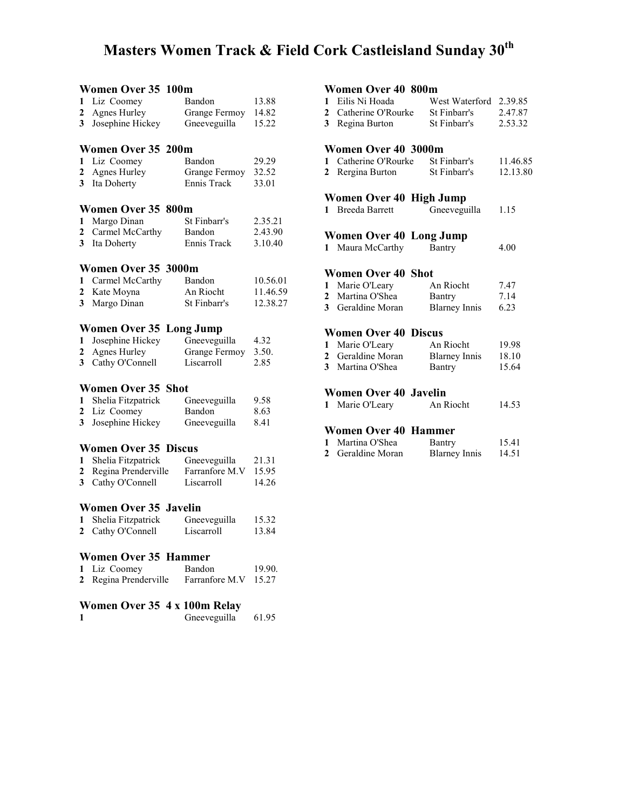### Masters Women Track & Field Cork Castleisland Sunday 30<sup>th</sup>

### **Women Over 35 100m**<br>1 Liz Coomey Bandon 1 Liz Coomey Bandon 13.88<br>2 Agnes Hurley Grange Fermoy 14.82 Grange Fermoy 14.82 3 Josephine Hickey Gneeveguilla 15.22 **Women Over 35 200m**<br>1 Liz Coomey Bandon 1 Liz Coomey Bandon 29.29 2 Agnes Hurley Grange Fermoy 32.52 3 Ita Doherty Ennis Track 33.01 **Women Over 35 800m**<br>1 Margo Dinan St Finbarr's 1 Margo Dinan St Finbarr's 2.35.21 2 Carmel McCarthy Bandon 2.43.90 3 Ita Doherty Ennis Track 3.10.40 Women Over 35 3000m 1 Carmel McCarthy Bandon 10.56.01<br>2 Kate Moyna An Riocht 11.46.59 2 Kate Moyna<br>
2 Kate Moyna<br>
2 An Riocht 11.46.59<br>
2 Margo Dinan<br>
2 St Finbarr's 12.38.27 3 Margo Dinan Women Over 35 Long Jump<br>1 Josephine Hickey Gneeveguilla 1 Josephine Hickey Gneeveguilla 4.32 2 Agnes Hurley Grange Fermoy 3.50. 3 Cathy O'Connell Liscarroll 2.85 Women Over 35 Shot 1 Shelia Fitzpatrick Gneeveguilla 9.58 2 Liz Coomey Bandon 8.63 3 Josephine Hickey Gneeveguilla 8.41 **Women Over 35 Discus**<br>1 Shelia Fitzpatrick Gneeveguilla 1 Shelia Fitzpatrick Gneeveguilla 21.31<br>2 Regina Prenderville Farranfore M.V 15.95 2 Regina Prenderville 3 Cathy O'Connell Liscarroll 14.26 Women Over 35 Javelin 1 Shelia Fitzpatrick Gneeveguilla 15.32<br>2 Cathy O'Connell Liscarroll 13.84 2 Cathy O'Connell Liscarroll 13.84 Women Over 35 Hammer<br>1 Liz Coomey Bandon 1 Liz Coomey Bandon 19.90. 2 Regina Prenderville Farranfore M.V 15.27 Women Over 35 4 x 100m Relay 1 Gneeveguilla 61.95

#### Women Over 40 800m

| 1 Eilis Ni Hoada     | West Waterford 2.39.85 |         |
|----------------------|------------------------|---------|
| 2 Catherine O'Rourke | St Finbarr's           | 2.47.87 |
| 3 Regina Burton      | St Finbarr's           | 2.53.32 |

#### Women Over 40 3000m

| 1 Catherine O'Rourke | St Finbarr's | 11.46.85 |
|----------------------|--------------|----------|
| 2 Rergina Burton     | St Finbarr's | 12.13.80 |

#### Women Over 40 High Jump

1 Breeda Barrett Gneeveguilla 1.15

#### Women Over 40 Long Jump

1 Maura McCarthy Bantry 4.00

#### Women Over 40 Shot

| 1 Marie O'Leary   | An Riocht            | 7.47 |
|-------------------|----------------------|------|
| 2 Martina O'Shea  | Bantry               | 7.14 |
| 3 Geraldine Moran | <b>Blarney Innis</b> | 6.23 |

#### Women Over 40 Discus

| 1 Marie O'Leary   | An Riocht            | 19.98 |
|-------------------|----------------------|-------|
| 2 Geraldine Moran | <b>Blarney Innis</b> | 18.10 |
| 3 Martina O'Shea  | <b>Bantry</b>        | 15.64 |

#### Women Over 40 Javelin

|  | Marie O'Leary | An Riocht | 14.53 |
|--|---------------|-----------|-------|
|--|---------------|-----------|-------|

#### Women Over 40 Hammer

| 1 Martina O'Shea  | Bantry               | 15.41 |
|-------------------|----------------------|-------|
| 2 Geraldine Moran | <b>Blarney Innis</b> | 14.51 |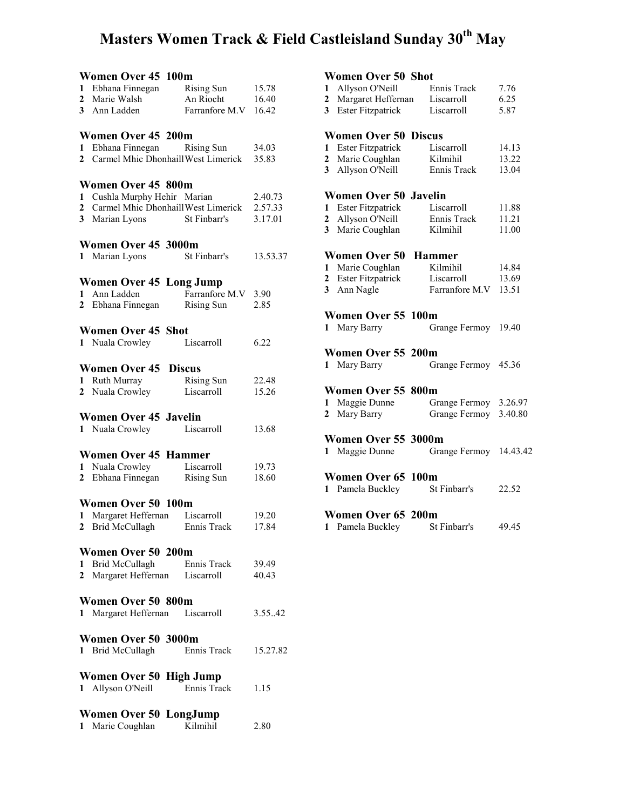# Masters Women Track & Field Castleisland Sunday 30<sup>th</sup> May

|   | Women Over 45 100m<br>1 Ebhana Finnegan<br>2 Marie Walsh<br>3 Ann Ladden                                                     | Rising Sun<br>An Riocht<br>Farranfore M.V 16.42 | 15.78<br>16.40     |
|---|------------------------------------------------------------------------------------------------------------------------------|-------------------------------------------------|--------------------|
| 1 | Women Over 45 200m<br>Ebhana Finnegan Rising Sun<br>2 Carmel Mhic Dhonhaill West Limerick                                    |                                                 | 34.03<br>35.83     |
|   | <b>Women Over 45 800m</b><br>1 Cushla Murphy Hehir Marian<br>2 Carmel Mhic Dhonhaill West Limerick 2.57.33<br>3 Marian Lyons | St Finbarr's                                    | 2.40.73<br>3.17.01 |
|   | Women Over 45 3000m<br>1 Marian Lyons                                                                                        | St Finbarr's                                    | 13.53.37           |
|   | <b>Women Over 45 Long Jump</b><br>1 Ann Ladden<br>2 Ebhana Finnegan                                                          | Farranfore M.V 3.90<br>Rising Sun               | 2.85               |
|   | <b>Women Over 45 Shot</b><br>1 Nuala Crowley                                                                                 | Liscarroll                                      | 6.22               |
|   | <b>Women Over 45 Discus</b><br>1 Ruth Murray<br>2 Nuala Crowley                                                              | <b>Rising Sun</b><br>Liscarroll                 | 22.48<br>15.26     |
|   | <b>Women Over 45 Javelin</b><br>1 Nuala Crowley                                                                              | Liscarroll                                      | 13.68              |
|   | <b>Women Over 45 Hammer</b><br>1 Nuala Crowley<br>2 Ebhana Finnegan                                                          | Liscarroll<br><b>Rising Sun</b>                 | 19.73<br>18.60     |
|   | Women Over 50 100m<br>1 Margaret Heffernan Liscarroll<br>2 Brid McCullagh Ennis Track                                        |                                                 | 19.20<br>17.84     |
|   | Women Over 50 200m<br>1 Brid McCullagh Ennis Track<br>2 Margaret Heffernan Liscarroll                                        |                                                 | 39.49<br>40.43     |
|   | Women Over 50 800m<br>1 Margaret Heffernan                                                                                   | Liscarroll                                      | 3.55.42            |
|   | Women Over 50 3000m<br>1 Brid McCullagh                                                                                      | Ennis Track                                     | 15.27.82           |
|   | Women Over 50 High Jump<br>1 Allyson O'Neill                                                                                 | Ennis Track                                     | 1.15               |
|   | <b>Women Over 50 LongJump</b><br>1 Marie Coughlan                                                                            | Kilmihil                                        | 2.80               |

### Women Over 50 Shot

|                | WOMEN OVER 50 SHOT           |                |          |
|----------------|------------------------------|----------------|----------|
| 1              | Allyson O'Neill              | Ennis Track    | 7.76     |
| 2              | Margaret Heffernan           | Liscarroll     | 6.25     |
| 3              | <b>Ester Fitzpatrick</b>     | Liscarroll     | 5.87     |
|                |                              |                |          |
|                | <b>Women Over 50 Discus</b>  |                |          |
| 1              | <b>Ester Fitzpatrick</b>     | Liscarroll     | 14.13    |
| 2              | Marie Coughlan               | Kilmihil       | 13.22    |
| $\mathbf{3}$   | Allyson O'Neill              | Ennis Track    | 13.04    |
|                |                              |                |          |
|                | <b>Women Over 50 Javelin</b> |                |          |
| 1              | <b>Ester Fitzpatrick</b>     | Liscarroll     | 11.88    |
| 2              | Allyson O'Neill              | Ennis Track    | 11.21    |
| 3              | Marie Coughlan               | Kilmihil       | 11.00    |
|                |                              |                |          |
|                | Women Over 50                | <b>Hammer</b>  |          |
| 1              | Marie Coughlan               | Kilmihil       | 14.84    |
| 2              | <b>Ester Fitzpatrick</b>     | Liscarroll     | 13.69    |
| 3              | Ann Nagle                    | Farranfore M.V | 13.51    |
|                |                              |                |          |
|                | Women Over 55 100m           |                |          |
|                | 1 Mary Barry                 | Grange Fermoy  | 19.40    |
|                |                              |                |          |
|                | Women Over 55 200m           |                |          |
|                | 1 Mary Barry                 | Grange Fermoy  | 45.36    |
|                |                              |                |          |
|                | Women Over 55 800m           |                |          |
| 1              | Maggie Dunne                 | Grange Fermoy  | 3.26.97  |
| $\overline{2}$ | Mary Barry                   | Grange Fermoy  | 3.40.80  |
|                |                              |                |          |
|                | Women Over 55 3000m          |                |          |
|                | 1 Maggie Dunne               | Grange Fermoy  | 14.43.42 |
|                | Women Over 65 100m           |                |          |
|                |                              |                |          |
|                | 1 Pamela Buckley             | St Finbarr's   | 22.52    |
|                | Women Over 65 200m           |                |          |
|                | 1 Pamela Buckley             | St Finbarr's   | 49.45    |
|                |                              |                |          |
|                |                              |                |          |
|                |                              |                |          |
|                |                              |                |          |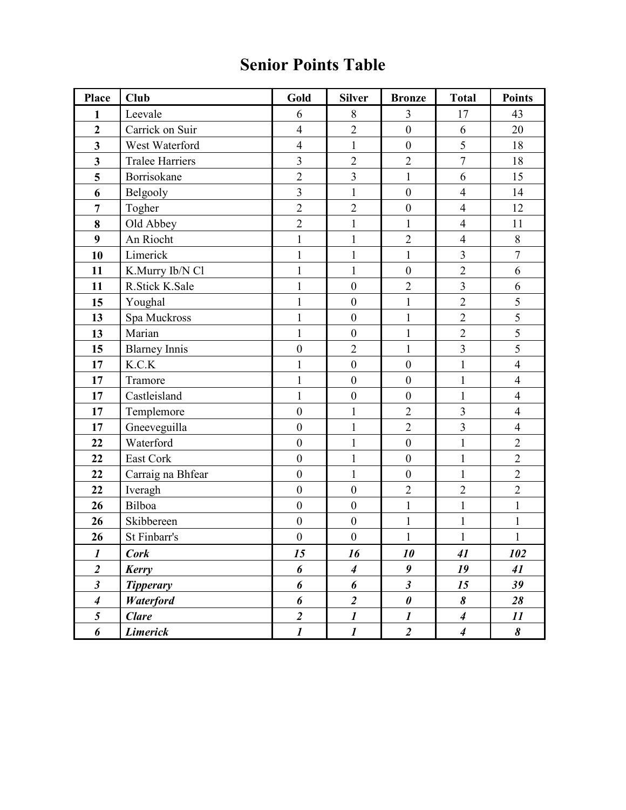### Senior Points Table

| Place                       | <b>Club</b>            | Gold                    | <b>Silver</b>           | <b>Bronze</b>           | <b>Total</b>            | <b>Points</b>  |
|-----------------------------|------------------------|-------------------------|-------------------------|-------------------------|-------------------------|----------------|
| $\mathbf{1}$                | Leevale                | 6                       | 8                       | 3                       | 17                      | 43             |
| $\overline{2}$              | Carrick on Suir        | $\overline{4}$          | $\overline{c}$          | $\mathbf{0}$            | 6                       | 20             |
| $\overline{\mathbf{3}}$     | West Waterford         | $\overline{4}$          | $\mathbf{1}$            | $\boldsymbol{0}$        | 5                       | 18             |
| $\overline{\mathbf{3}}$     | <b>Tralee Harriers</b> | $\overline{3}$          | $\overline{2}$          | $\overline{2}$          | $\overline{7}$          | 18             |
| 5                           | Borrisokane            | $\overline{2}$          | $\overline{3}$          | $\mathbf{1}$            | 6                       | 15             |
| 6                           | Belgooly               | $\overline{3}$          | $\mathbf{1}$            | $\boldsymbol{0}$        | $\overline{4}$          | 14             |
| $\overline{7}$              | Togher                 | $\overline{2}$          | $\overline{2}$          | $\overline{0}$          | $\overline{4}$          | 12             |
| 8                           | Old Abbey              | $\overline{2}$          | $\mathbf{1}$            | $\mathbf{1}$            | $\overline{4}$          | 11             |
| 9                           | An Riocht              | $\mathbf{1}$            | $\mathbf{1}$            | $\overline{2}$          | $\overline{4}$          | $\,8\,$        |
| 10                          | Limerick               | $\mathbf{1}$            | $\mathbf{1}$            | $\mathbf{1}$            | 3                       | $\overline{7}$ |
| 11                          | K.Murry Ib/N Cl        | $\mathbf{1}$            | $\mathbf{1}$            | $\boldsymbol{0}$        | $\overline{2}$          | 6              |
| 11                          | R.Stick K.Sale         | $\mathbf{1}$            | $\boldsymbol{0}$        | $\overline{2}$          | $\overline{3}$          | 6              |
| 15                          | Youghal                | $\mathbf{1}$            | $\boldsymbol{0}$        | $\mathbf{1}$            | $\overline{2}$          | 5              |
| 13                          | Spa Muckross           | $\mathbf{1}$            | $\boldsymbol{0}$        | $\mathbf{1}$            | $\overline{2}$          | 5              |
| 13                          | Marian                 | $\mathbf{1}$            | $\boldsymbol{0}$        | $\mathbf{1}$            | $\overline{2}$          | $\overline{5}$ |
| 15                          | <b>Blarney Innis</b>   | $\overline{0}$          | $\overline{2}$          | $\mathbf{1}$            | $\overline{3}$          | $\overline{5}$ |
| 17                          | $K.C.K$                | $\mathbf{1}$            | $\overline{0}$          | $\mathbf{0}$            | $\mathbf{1}$            | $\overline{4}$ |
| 17                          | Tramore                | $\mathbf 1$             | $\boldsymbol{0}$        | $\boldsymbol{0}$        | $\mathbf{1}$            | $\overline{4}$ |
| 17                          | Castleisland           | $\mathbf{1}$            | $\boldsymbol{0}$        | $\boldsymbol{0}$        | $\mathbf{1}$            | $\overline{4}$ |
| 17                          | Templemore             | $\mathbf{0}$            | $\mathbf{1}$            | $\overline{2}$          | $\overline{3}$          | $\overline{4}$ |
| 17                          | Gneeveguilla           | $\boldsymbol{0}$        | $\mathbf{1}$            | $\overline{2}$          | $\overline{\mathbf{3}}$ | $\overline{4}$ |
| 22                          | Waterford              | $\boldsymbol{0}$        | $\mathbf 1$             | $\boldsymbol{0}$        | $\mathbf{1}$            | $\sqrt{2}$     |
| 22                          | East Cork              | $\boldsymbol{0}$        | $\mathbf{1}$            | $\boldsymbol{0}$        | $\mathbf{1}$            | $\overline{2}$ |
| 22                          | Carraig na Bhfear      | $\mathbf{0}$            | $\mathbf{1}$            | $\boldsymbol{0}$        | $\mathbf{1}$            | $\overline{2}$ |
| 22                          | Iveragh                | $\mathbf{0}$            | $\boldsymbol{0}$        | $\overline{2}$          | $\overline{2}$          | $\overline{2}$ |
| 26                          | Bilboa                 | $\boldsymbol{0}$        | $\boldsymbol{0}$        | $\mathbf{1}$            | $\mathbf{1}$            | $\mathbf{1}$   |
| 26                          | Skibbereen             | $\boldsymbol{0}$        | $\boldsymbol{0}$        | $\mathbf{1}$            | $\mathbf{1}$            | $\mathbf{1}$   |
| 26                          | St Finbarr's           | $\boldsymbol{0}$        | $\boldsymbol{0}$        | 1                       | $\mathbf 1$             | $\mathbf{1}$   |
| $\boldsymbol{l}$            | <b>Cork</b>            | 15                      | 16                      | 10                      | 41                      | 102            |
| $\overline{2}$              | Kerry                  | 6                       | $\overline{\mathbf{4}}$ | $\boldsymbol{g}$        | 19                      | 41             |
| $\boldsymbol{\mathfrak{z}}$ | <b>Tipperary</b>       | 6                       | 6                       | $\overline{\mathbf{3}}$ | 15                      | 39             |
| $\boldsymbol{4}$            | <b>Waterford</b>       | 6                       | $\overline{2}$          | $\boldsymbol{\theta}$   | 8                       | 28             |
| 5                           | <b>Clare</b>           | $\overline{\mathbf{2}}$ | $\boldsymbol{l}$        | $\boldsymbol{l}$        | $\boldsymbol{4}$        | 11             |
| 6                           | <b>Limerick</b>        | $\boldsymbol{l}$        | $\boldsymbol{l}$        | $\overline{2}$          | $\boldsymbol{4}$        | 8              |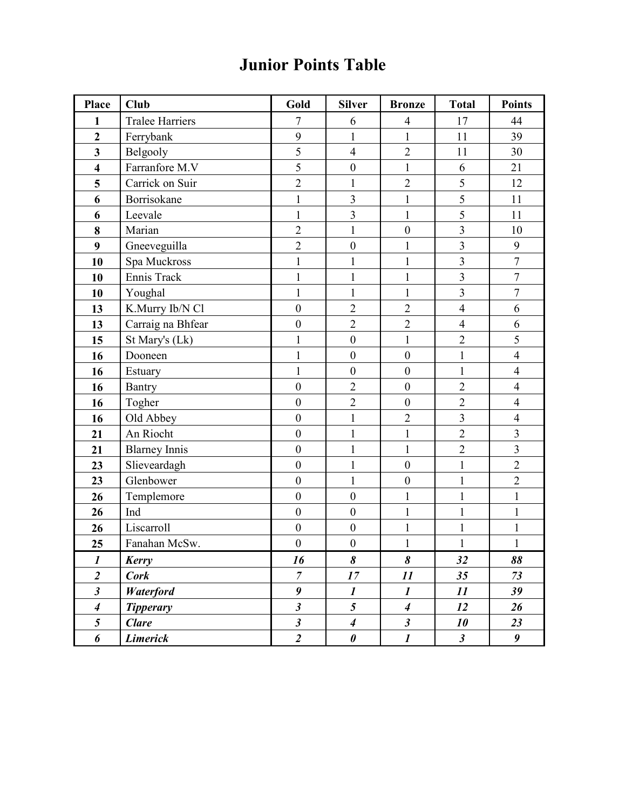## Junior Points Table

| Place                       | <b>Club</b>            | Gold                 | <b>Silver</b>               | <b>Bronze</b>               | <b>Total</b>         | <b>Points</b>    |
|-----------------------------|------------------------|----------------------|-----------------------------|-----------------------------|----------------------|------------------|
| 1                           | <b>Tralee Harriers</b> | 7                    | 6                           | $\overline{4}$              | 17                   | 44               |
| $\overline{2}$              | Ferrybank              | 9                    | $\mathbf{1}$                | $\mathbf{1}$                | 11                   | 39               |
| $\mathbf{3}$                | Belgooly               | 5                    | $\overline{4}$              | $\overline{2}$              | 11                   | 30               |
| $\overline{\mathbf{4}}$     | Farranfore M.V         | 5                    | $\boldsymbol{0}$            | $\mathbf{1}$                | 6                    | 21               |
| 5                           | Carrick on Suir        | $\overline{2}$       | $\mathbf{1}$                | $\overline{2}$              | 5                    | 12               |
| 6                           | Borrisokane            | $\mathbf{1}$         | $\overline{\mathbf{3}}$     | $\mathbf{1}$                | 5                    | 11               |
| 6                           | Leevale                | $\mathbf{1}$         | $\overline{3}$              | $\mathbf{1}$                | 5                    | 11               |
| 8                           | Marian                 | $\overline{2}$       | $\mathbf{1}$                | $\boldsymbol{0}$            | 3                    | 10               |
| $\boldsymbol{9}$            | Gneeveguilla           | $\overline{2}$       | $\boldsymbol{0}$            | $\mathbf{1}$                | $\overline{3}$       | 9                |
| 10                          | Spa Muckross           | $\mathbf{1}$         | $\mathbf{1}$                | 1                           | 3                    | $\overline{7}$   |
| 10                          | Ennis Track            | $\mathbf{1}$         | $\mathbf{1}$                | $\mathbf{1}$                | $\overline{3}$       | $\overline{7}$   |
| 10                          | Youghal                | $\mathbf{1}$         | $\mathbf{1}$                | $\mathbf{1}$                | $\overline{3}$       | $\overline{7}$   |
| 13                          | K.Murry Ib/N Cl        | $\boldsymbol{0}$     | $\overline{2}$              | $\overline{2}$              | $\overline{4}$       | 6                |
| 13                          | Carraig na Bhfear      | $\boldsymbol{0}$     | $\overline{2}$              | $\overline{2}$              | $\overline{4}$       | 6                |
| 15                          | St Mary's (Lk)         | $\mathbf{1}$         | $\boldsymbol{0}$            | $\mathbf{1}$                | $\overline{2}$       | 5                |
| 16                          | Dooneen                | $\mathbf{1}$         | $\boldsymbol{0}$            | $\overline{0}$              | $\mathbf{1}$         | $\overline{4}$   |
| 16                          | Estuary                | $\mathbf{1}$         | $\boldsymbol{0}$            | $\boldsymbol{0}$            | $\mathbf{1}$         | $\overline{4}$   |
| 16                          | Bantry                 | $\boldsymbol{0}$     | $\overline{2}$              | $\boldsymbol{0}$            | $\overline{2}$       | $\overline{4}$   |
| 16                          | Togher                 | $\boldsymbol{0}$     | $\overline{2}$              | $\boldsymbol{0}$            | $\overline{2}$       | $\overline{4}$   |
| 16                          | Old Abbey              | $\overline{0}$       | $\mathbf{1}$                | $\overline{2}$              | 3                    | $\overline{4}$   |
| 21                          | An Riocht              | $\boldsymbol{0}$     | $\mathbf{1}$                | $\mathbf{1}$                | $\overline{2}$       | $\overline{3}$   |
| 21                          | <b>Blarney Innis</b>   | $\boldsymbol{0}$     | $\mathbf{1}$                | $\mathbf{1}$                | $\overline{2}$       | 3                |
| 23                          | Slieveardagh           | $\boldsymbol{0}$     | $\mathbf{1}$                | $\boldsymbol{0}$            | $\mathbf{1}$         | $\overline{2}$   |
| 23                          | Glenbower              | $\boldsymbol{0}$     | $\mathbf{1}$                | $\boldsymbol{0}$            | $\mathbf{1}$         | $\overline{2}$   |
| 26                          | Templemore             | $\boldsymbol{0}$     | $\boldsymbol{0}$            | 1                           | $\mathbf{1}$         | $\mathbf{1}$     |
| 26                          | Ind                    | $\boldsymbol{0}$     | $\boldsymbol{0}$            | $\mathbf{1}$                | $\mathbf{1}$         | $\mathbf{1}$     |
| 26                          | Liscarroll             | $\boldsymbol{0}$     | $\boldsymbol{0}$            | $\mathbf{1}$                | $\mathbf{1}$         | $\mathbf{1}$     |
| 25                          | Fanahan McSw.          | $\boldsymbol{0}$     | $\boldsymbol{0}$            | $\mathbf{1}$                | $\mathbf{1}$         | $\mathbf{1}$     |
| $\boldsymbol{l}$            | Kerry                  | 16                   | 8                           | 8                           | 32                   | 88               |
| $\overline{2}$              | <b>Cork</b>            | $\overline{7}$       | 17                          | 11                          | 35                   | 73               |
| $\boldsymbol{\mathfrak{z}}$ | Waterford              | 9                    | $\boldsymbol{l}$            | $\boldsymbol{l}$            | 11                   | 39               |
| $\boldsymbol{4}$            | <b>Tipperary</b>       | $\boldsymbol{\beta}$ | 5                           | $\boldsymbol{4}$            | 12                   | 26               |
| 5                           | <b>Clare</b>           | $\boldsymbol{\beta}$ | $\overline{\boldsymbol{4}}$ | $\boldsymbol{\mathfrak{z}}$ | 10                   | 23               |
| 6                           | <b>Limerick</b>        | $\overline{c}$       | $\pmb{\theta}$              | $\boldsymbol{l}$            | $\boldsymbol{\beta}$ | $\boldsymbol{g}$ |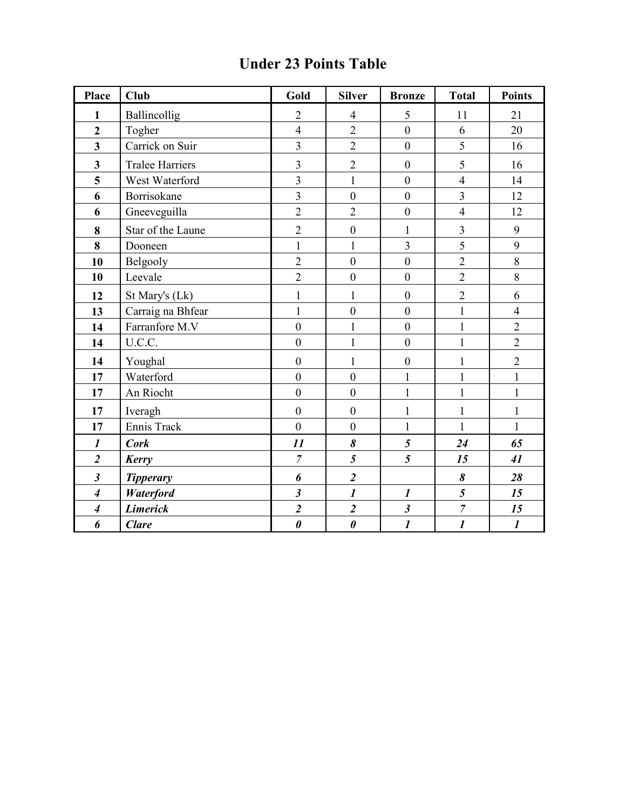### Under 23 Points Table

| Place                       | <b>Club</b>            | Gold                    | <b>Silver</b>           | <b>Bronze</b>    | <b>Total</b>            | <b>Points</b>    |
|-----------------------------|------------------------|-------------------------|-------------------------|------------------|-------------------------|------------------|
| 1                           | Ballincollig           | $\overline{2}$          | $\overline{4}$          | 5                | 11                      | 21               |
| $\overline{2}$              | Togher                 | $\overline{4}$          | $\overline{2}$          | $\overline{0}$   | 6                       | 20               |
| $\overline{\mathbf{3}}$     | Carrick on Suir        | 3                       | $\overline{2}$          | $\boldsymbol{0}$ | 5                       | 16               |
| 3                           | <b>Tralee Harriers</b> | 3                       | $\overline{2}$          | $\boldsymbol{0}$ | 5                       | 16               |
| 5                           | West Waterford         | $\overline{3}$          | $\mathbf{1}$            | $\mathbf{0}$     | $\overline{4}$          | 14               |
| 6                           | Borrisokane            | $\overline{3}$          | $\boldsymbol{0}$        | $\mathbf{0}$     | $\overline{3}$          | 12               |
| 6                           | Gneeveguilla           | $\overline{2}$          | $\overline{2}$          | $\mathbf{0}$     | $\overline{4}$          | 12               |
| 8                           | Star of the Laune      | $\overline{2}$          | $\boldsymbol{0}$        | $\mathbf{1}$     | $\overline{\mathbf{3}}$ | 9                |
| 8                           | Dooneen                | $\mathbf{1}$            | $\mathbf{1}$            | $\overline{3}$   | 5                       | 9                |
| 10                          | Belgooly               | $\overline{2}$          | $\boldsymbol{0}$        | $\mathbf{0}$     | $\overline{2}$          | $\,8\,$          |
| 10                          | Leevale                | $\overline{2}$          | $\overline{0}$          | $\mathbf{0}$     | $\overline{2}$          | 8                |
| 12                          | St Mary's (Lk)         | $\mathbf{1}$            | $\mathbf{1}$            | $\boldsymbol{0}$ | $\overline{2}$          | 6                |
| 13                          | Carraig na Bhfear      | $\mathbf{1}$            | $\boldsymbol{0}$        | $\mathbf{0}$     | $\mathbf{1}$            | $\overline{4}$   |
| 14                          | Farranfore M.V         | $\mathbf{0}$            | $\mathbf{1}$            | $\mathbf{0}$     | $\mathbf{1}$            | $\overline{2}$   |
| 14                          | U.C.C.                 | $\mathbf{0}$            | $\mathbf{1}$            | $\mathbf{0}$     | $\mathbf{1}$            | $\overline{2}$   |
| 14                          | Youghal                | $\mathbf{0}$            | $\mathbf{1}$            | $\boldsymbol{0}$ | $\mathbf{1}$            | $\overline{2}$   |
| 17                          | Waterford              | $\overline{0}$          | $\overline{0}$          | $\mathbf{1}$     | $\mathbf{1}$            | $\mathbf{1}$     |
| 17                          | An Riocht              | $\overline{0}$          | $\mathbf{0}$            | $\mathbf{1}$     | $\mathbf{1}$            | $\mathbf{1}$     |
| 17                          | Iveragh                | $\boldsymbol{0}$        | $\boldsymbol{0}$        | $\mathbf{1}$     | $\mathbf{1}$            | $\mathbf{1}$     |
| 17                          | Ennis Track            | $\mathbf{0}$            | $\boldsymbol{0}$        | $\mathbf{1}$     | $\mathbf{1}$            | $\mathbf{1}$     |
| $\boldsymbol{l}$            | <b>Cork</b>            | 11                      | $\boldsymbol{\delta}$   | $\mathfrak{s}$   | 24                      | 65               |
| $\overline{2}$              | Kerry                  | $\overline{7}$          | $\overline{5}$          | $\overline{5}$   | 15                      | 41               |
| $\boldsymbol{\hat{3}}$      | <b>Tipperary</b>       | 6                       | $\boldsymbol{2}$        |                  | 8                       | 28               |
| $\overline{\boldsymbol{4}}$ | Waterford              | $\overline{\mathbf{3}}$ | $\mathbf{I}$            | $\boldsymbol{l}$ | 5                       | 15               |
| $\boldsymbol{4}$            | <b>Limerick</b>        | $\overline{\mathbf{2}}$ | $\overline{\mathbf{c}}$ | $\mathfrak{z}$   | $\overline{7}$          | 15               |
| 6                           | <b>Clare</b>           | $\boldsymbol{\theta}$   | $\boldsymbol{\theta}$   | $\boldsymbol{l}$ | $\boldsymbol{l}$        | $\boldsymbol{l}$ |